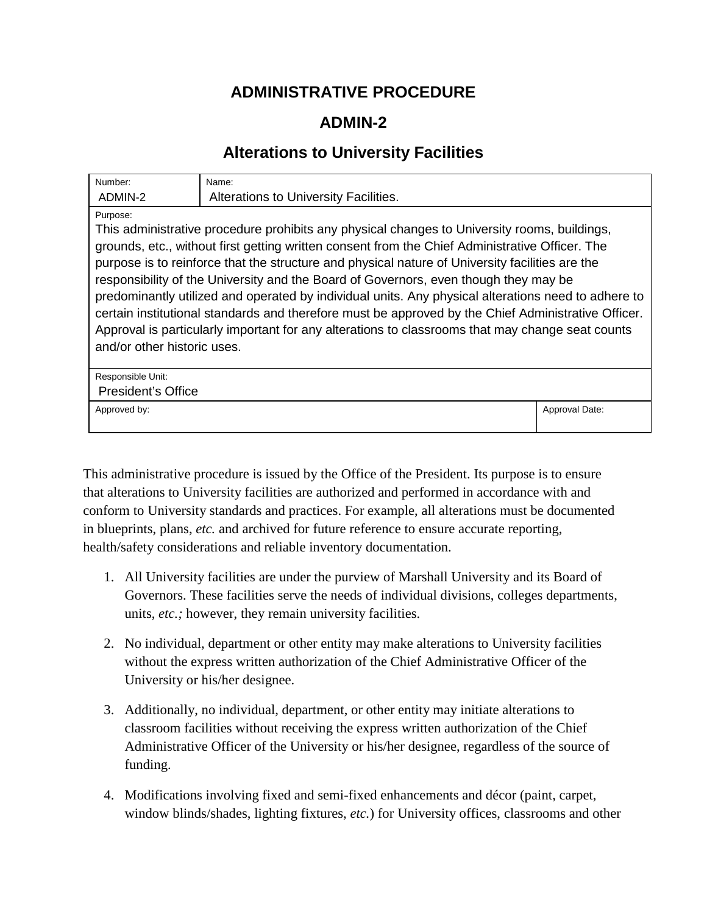## **ADMINISTRATIVE PROCEDURE**

## **ADMIN-2**

## **Alterations to University Facilities**

| Number:                                                                                                                                                                                                                                                                                                                                                                                                                                                                                                                                                                                                                                                                                                                                                 | Name:                                 |                |
|---------------------------------------------------------------------------------------------------------------------------------------------------------------------------------------------------------------------------------------------------------------------------------------------------------------------------------------------------------------------------------------------------------------------------------------------------------------------------------------------------------------------------------------------------------------------------------------------------------------------------------------------------------------------------------------------------------------------------------------------------------|---------------------------------------|----------------|
| ADMIN-2                                                                                                                                                                                                                                                                                                                                                                                                                                                                                                                                                                                                                                                                                                                                                 | Alterations to University Facilities. |                |
| Purpose:<br>This administrative procedure prohibits any physical changes to University rooms, buildings,<br>grounds, etc., without first getting written consent from the Chief Administrative Officer. The<br>purpose is to reinforce that the structure and physical nature of University facilities are the<br>responsibility of the University and the Board of Governors, even though they may be<br>predominantly utilized and operated by individual units. Any physical alterations need to adhere to<br>certain institutional standards and therefore must be approved by the Chief Administrative Officer.<br>Approval is particularly important for any alterations to classrooms that may change seat counts<br>and/or other historic uses. |                                       |                |
| Responsible Unit:<br>President's Office                                                                                                                                                                                                                                                                                                                                                                                                                                                                                                                                                                                                                                                                                                                 |                                       |                |
| Approved by:                                                                                                                                                                                                                                                                                                                                                                                                                                                                                                                                                                                                                                                                                                                                            |                                       | Approval Date: |

This administrative procedure is issued by the Office of the President. Its purpose is to ensure that alterations to University facilities are authorized and performed in accordance with and conform to University standards and practices. For example, all alterations must be documented in blueprints, plans, *etc.* and archived for future reference to ensure accurate reporting, health/safety considerations and reliable inventory documentation.

- 1. All University facilities are under the purview of Marshall University and its Board of Governors. These facilities serve the needs of individual divisions, colleges departments, units, *etc.;* however, they remain university facilities.
- 2. No individual, department or other entity may make alterations to University facilities without the express written authorization of the Chief Administrative Officer of the University or his/her designee.
- 3. Additionally, no individual, department, or other entity may initiate alterations to classroom facilities without receiving the express written authorization of the Chief Administrative Officer of the University or his/her designee, regardless of the source of funding.
- 4. Modifications involving fixed and semi-fixed enhancements and décor (paint, carpet, window blinds/shades, lighting fixtures, *etc.*) for University offices, classrooms and other